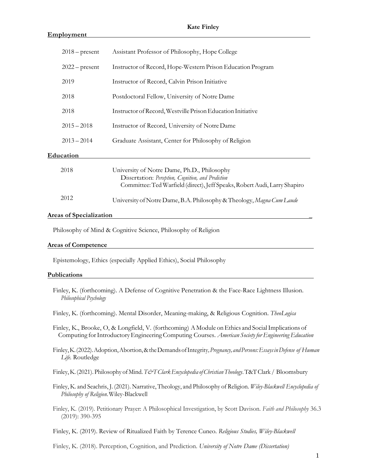# **Employment**

| $2018$ – present | Assistant Professor of Philosophy, Hope College                                                                                                                                 |
|------------------|---------------------------------------------------------------------------------------------------------------------------------------------------------------------------------|
| $2022$ – present | Instructor of Record, Hope-Western Prison Education Program                                                                                                                     |
| 2019             | Instructor of Record, Calvin Prison Initiative                                                                                                                                  |
| 2018             | Postdoctoral Fellow, University of Notre Dame                                                                                                                                   |
| 2018             | Instructor of Record, Westville Prison Education Initiative                                                                                                                     |
| $2015 - 2018$    | Instructor of Record, University of Notre Dame                                                                                                                                  |
| $2013 - 2014$    | Graduate Assistant, Center for Philosophy of Religion                                                                                                                           |
| Education        |                                                                                                                                                                                 |
| 2018             | University of Notre Dame, Ph.D., Philosophy<br>Dissertation: Perception, Cognition, and Prediction<br>Committee: Ted Warfield (direct), Jeff Speaks, Robert Audi, Larry Shapiro |
| 2012             | University of Notre Dame, B.A. Philosophy & Theology, Magna Cum Laude                                                                                                           |
|                  |                                                                                                                                                                                 |

## **Areas of Specialization \_**

Philosophy of Mind & Cognitive Science, Philosophy of Religion

### **Areas of Competence**

Epistemology, Ethics (especially Applied Ethics), Social Philosophy

### **Publications**

Finley, K. (forthcoming). A Defense of Cognitive Penetration & the Face-Race Lightness Illusion. *Philosophical Psychology*

Finley, K. (forthcoming). Mental Disorder, Meaning-making, & Religious Cognition. *TheoLogica* 

- Finley, K., Brooke, O, & Longfield, V. (forthcoming) A Module on Ethics and Social Implications of Computing forIntroductoryEngineering Computing Courses. *American Society for Engineering Education*
- Finley,K.(2022).Adoption,Abortion,&theDemandsofIntegrity*,Pregnancy, andPersons:EssaysinDefense of Human Life.* Routledge

Finley,K.(2021).Philosophy ofMind.*T&TClarkEncyclopedia ofChristianTheology*.T&TClark / Bloomsbury

- Finley, K. and Seachris, J. (2021). Narrative, Theology, and Philosophy of Religion. *Wiley-Blackwell Encyclopedia of Philosophy of Religion*.Wiley-Blackwell
- Finley, K. (2019). Petitionary Prayer: A Philosophical Investigation, by Scott Davison. *Faith and Philosophy* 36.3 (2019): 390-395

Finley, K. (2019). Review of Ritualized Faith by Terence Cuneo. *Religious Studies, Wiley-Blackwell*

Finley, K. (2018). Perception, Cognition, and Prediction. *University of Notre Dame (Dissertation)*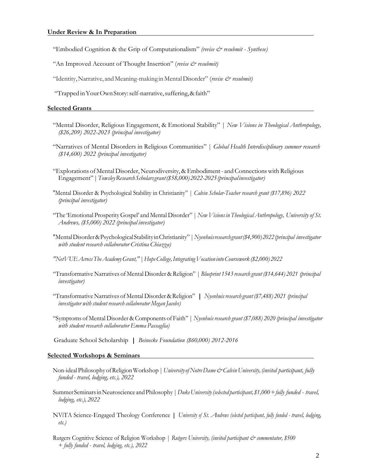"Embodied Cognition & the Grip of Computationalism" *(revise & resubmit - Synthese)* 

- "An Improved Account of Thought Insertion" (*revise & resubmit)*
- "Identity, Narrative, and Meaning-making in Mental Disorder" (*revise & resubmit*)
- "Trapped inYourOwnStory:self-narrative,suffering,&faith"

### **Selected Grants**

- "Mental Disorder, Religious Engagement, & Emotional Stability" | *New Visions in Theological Anthropology, (\$26,209) 2022-2023 (principal investigator)*
- "Narratives of Mental Disorders in Religious Communities" | *Global Health Interdisciplinary summer research (\$14,600) 2022 (principal investigator)*
- "Explorations of Mental Disorder, Neurodiversity, & Embodiment and Connections with Religious Engagement"|*TowsleyResearchScholarsgrant(\$58,000)2022-2025(principalinvestigator)*
- "Mental Disorder & Psychological Stability in Christianity" | *Calvin Scholar-Teacher research grant (\$17,896) 2022 (principal investigator)*
- "The 'Emotional ProsperityGospel' and Mental Disorder" |*New Visionsin Theological Anthropology, University of St. Andrews, (\$5,000) 2022 (principal investigator)*
- "MentalDisorder&PsychologicalStabilityinChristianity"|*Nyenhuisresearchgrant(\$4,900)2022(principal investigator with student research collaborator Cristina Chiazza)*
- *"NetVUEAcrossTheAcademyGrant,"|HopeCollege,Integrating Vocation intoCoursework (\$2,000) 2022*
- "Transformative Narratives of Mental Disorder & Religion" | *Blueprint 1543 research grant (\$14,644) 2021 (principal investigator)*
- "TransformativeNarratives of Mental Disorder &Religion"|*Nyenhuis research grant (\$7,488) 2021 (principal investigator with student research collaborator Megan Jacobs)*
- "Symptoms of Mental Disorder & Components of Faith" | *Nyenhuis research grant (\$7,088) 2020 (principal investigator with student research collaboratorEmma Passaglia)*

Graduate School Scholarship |*Beinecke Foundation (\$60,000) 2012-2016*

#### **Selected Workshops & Seminars**

- Non-idealPhilosophy ofReligionWorkshop|*UniversityofNotreDame&Calvin University, (invited participant, fully funded - travel, lodging, etc.), 2022*
- SummerSeminarsinNeuroscience andPhilosophy |*DukeUniversity(selected participant, \$1,000+fully funded - travel, lodging, etc.), 2022*
- NViTA Science-Engaged Theology Conference*| University of St. Andrews (selected participant, fully funded - travel, lodging, etc.)*
- Rutgers Cognitive Science of Religion Workshop | *Rutgers University, (invited participant & commentator, \$500 + fully funded - travel, lodging, etc.), 2022*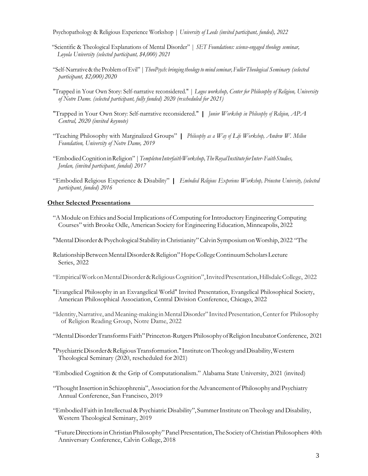Psychopathology & Religious Experience Workshop | *University of Leeds (invited participant, funded), 2022*

- "Scientific & Theological Explanations of Mental Disorder" | *SET Foundations: science-engaged theology seminar, Loyola University (selected participant, \$4,000) 2021*
- "Self-Narrative&the ProblemofEvil" |*TheoPsych: bringingtheologytomind seminar,FullerTheological Seminary (selected participant, \$2,000) 2020*
- "Trapped in Your Own Story: Self-narrative reconsidered." | *Logos workshop, Center for Philosophy of Religion, University of Notre Dame. (selected participant, fully funded) 2020 (rescheduled for 2021)*
- "Trapped in Your Own Story: Self-narrative reconsidered."|*Junior Workshop in Philosophy of Religion, APA Central, 2020 (invited keynote)*
- "Teaching Philosophy with Marginalized Groups"| *Philosophy as <sup>a</sup> Way of Life Workshop, Andrew W. Mellon Foundation, University of Notre Dame, 2019*
- "EmbodiedCognitioninReligion"|*TempletonInterfaithWorkshop,TheRoyalInstituteforInter-FaithStudies, Jordan, (invited participant, funded) 2017*
- "Embodied Religious Experience & Disability"|*Embodied Religious Experience Workshop, Princeton University, (selected participant, funded) 2016*

# **Other Selected Presentations**

"AModule onEthics and SocialImplications ofComputing forIntroductoryEngineering Computing Courses"with Brooke Odle, American Society for Engineering Education, Minneapolis, 2022

"MentalDisorder &Psychological Stability inChristianity"Calvin SymposiumonWorship, 2022 "The

- RelationshipBetweenMentalDisorder&Religion"HopeCollegeContinuumScholarsLecture Series, 2022
- "EmpiricalWorkonMentalDisorder&ReligiousCognition",InvitedPresentation,HillsdaleCollege, 2022
- "Evangelical Philosophy in an Exvangelical World" Invited Presentation, Evangelical Philosophical Society, American Philosophical Association, Central Division Conference, Chicago, 2022
- "Identity,Narrative, andMeaning-making inMentalDisorder" InvitedPresentation,Centerfor Philosophy of Religion Reading Group, Notre Dame, 2022
- "MentalDisorderTransformsFaith"Princeton-RutgersPhilosophyofReligionIncubatorConference, 2021
- "PsychiatricDisorder&ReligiousTransformation."InstituteonTheologyandDisability,Western Theological Seminary (2020, rescheduled for 2021)
- "Embodied Cognition & the Grip of Computationalism." Alabama State University, 2021 (invited)
- "Thought Insertion in Schizophrenia", Association for the Advancement of Philosophy and Psychiatry Annual Conference, San Francisco, 2019
- "Embodied Faith in Intellectual & Psychiatric Disability", Summer Institute on Theology and Disability, Western Theological Seminary, 2019
- "FutureDirectionsinChristianPhilosophy"PanelPresentation,The Society ofChristianPhilosophers 40th Anniversary Conference, Calvin College, 2018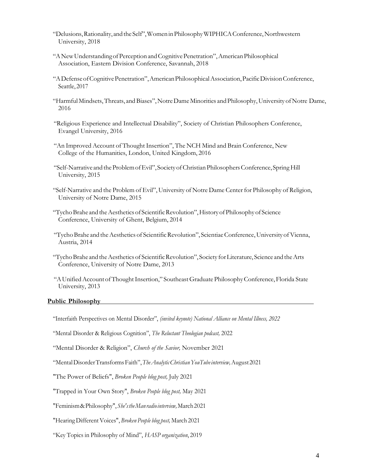- "Delusions,Rationality, andtheSelf",WomeninPhilosophyWIPHICAConference,Northwestern University, 2018
- "ANewUnderstandingofPerceptionandCognitivePenetration",AmericanPhilosophical Association, Eastern Division Conference, Savannah, 2018
- "ADefenseofCognitivePenetration",AmericanPhilosophicalAssociation,PacificDivisionConference, Seattle, 2017
- "HarmfulMindsets,Threats, andBiases",NotreDameMinorities andPhilosophy,University ofNotre Dame, 2016
- "Religious Experience and Intellectual Disability", Society of Christian Philosophers Conference, Evangel University, 2016
- "An Improved Account of Thought Insertion", The NCH Mind and Brain Conference, New College of the Humanities, London, United Kingdom, 2016
- "Self-Narrative and theProblemofEvil",SocietyofChristianPhilosophersConference, SpringHill University, 2015
- "Self-Narrative and the Problem of Evil", University of Notre Dame Center for Philosophy of Religion, University of Notre Dame, 2015
- "Tycho Brahe and the Aesthetics of Scientific Revolution", History of Philosophy of Science Conference, University of Ghent, Belgium, 2014
- "Tycho Brahe and the Aesthetics of Scientific Revolution", Scientiae Conference, University of Vienna, Austria, 2014
- "TychoBrahe andtheAesthetics of ScientificRevolution", Society forLiterature, Science and theArts Conference, University of Notre Dame, 2013
- "AUnifiedAccount ofThoughtInsertion," SoutheastGraduate PhilosophyConference, Florida State University, 2013

### **Public Philosophy**

"Interfaith Perspectives on Mental Disorder", *(invited keynote) National Alliance on Mental Illness, 2022*

"Mental Disorder & Religious Cognition", *The Reluctant Theologian podcast,* 2022

"Mental Disorder & Religion", *Church of the Savior,* November 2021

"MentalDisorderTransformsFaith",*TheAnalyticChristianYouTubeinterview,*August2021

"The Power of Beliefs", *Broken People blog post,* July 2021

"Trapped in Your Own Story", *Broken People blog post,* May 2021

"Feminism&Philosophy",*She'stheManradiointerview,*March2021

"Hearing Different Voices", *Broken People blog post,* March 2021

"Key Topics in Philosophy of Mind", *HASP organization*, 2019